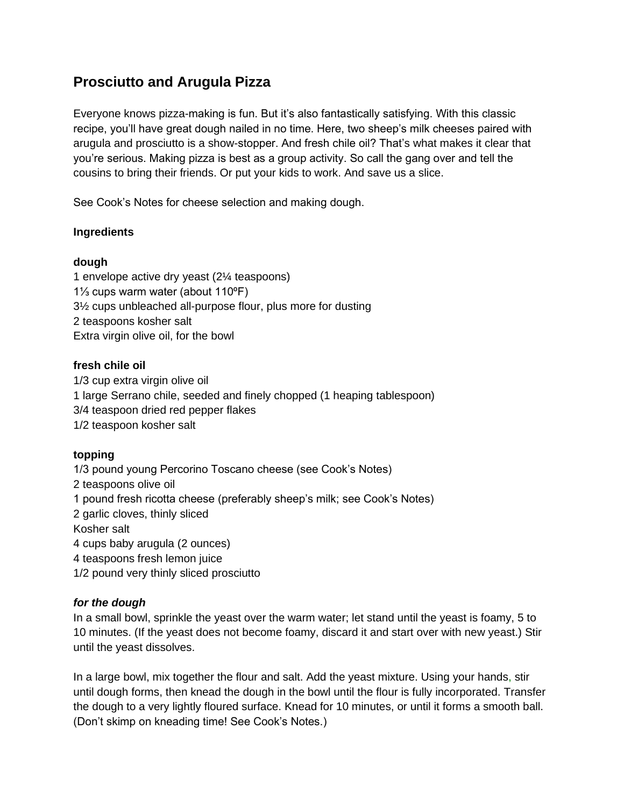# **Prosciutto and Arugula Pizza**

Everyone knows pizza-making is fun. But it's also fantastically satisfying. With this classic recipe, you'll have great dough nailed in no time. Here, two sheep's milk cheeses paired with arugula and prosciutto is a show-stopper. And fresh chile oil? That's what makes it clear that you're serious. Making pizza is best as a group activity. So call the gang over and tell the cousins to bring their friends. Or put your kids to work. And save us a slice.

See Cook's Notes for cheese selection and making dough.

# **Ingredients**

### **dough**

1 envelope active dry yeast (2¼ teaspoons) 1⅓ cups warm water (about 110ºF) 3½ cups unbleached all-purpose flour, plus more for dusting 2 teaspoons kosher salt Extra virgin olive oil, for the bowl

### **fresh chile oil**

1/3 cup extra virgin olive oil 1 large Serrano chile, seeded and finely chopped (1 heaping tablespoon) 3/4 teaspoon dried red pepper flakes 1/2 teaspoon kosher salt

# **topping**

1/3 pound young Percorino Toscano cheese (see Cook's Notes) 2 teaspoons olive oil 1 pound fresh ricotta cheese (preferably sheep's milk; see Cook's Notes) 2 garlic cloves, thinly sliced Kosher salt 4 cups baby arugula (2 ounces) 4 teaspoons fresh lemon juice 1/2 pound very thinly sliced prosciutto

# *for the dough*

In a small bowl, sprinkle the yeast over the warm water; let stand until the yeast is foamy, 5 to 10 minutes. (If the yeast does not become foamy, discard it and start over with new yeast.) Stir until the yeast dissolves.

In a large bowl, mix together the flour and salt. Add the yeast mixture. Using your hands, stir until dough forms, then knead the dough in the bowl until the flour is fully incorporated. Transfer the dough to a very lightly floured surface. Knead for 10 minutes, or until it forms a smooth ball. (Don't skimp on kneading time! See Cook's Notes.)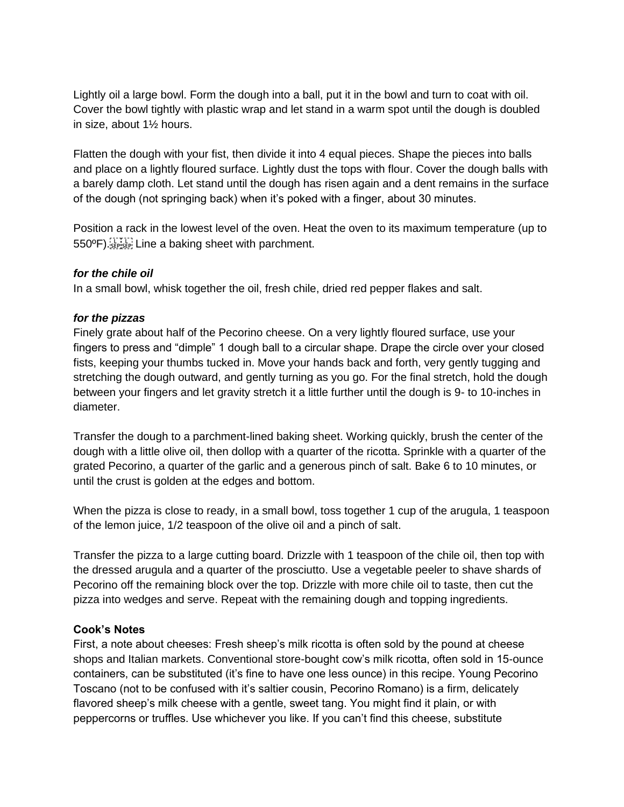Lightly oil a large bowl. Form the dough into a ball, put it in the bowl and turn to coat with oil. Cover the bowl tightly with plastic wrap and let stand in a warm spot until the dough is doubled in size, about 1½ hours.

Flatten the dough with your fist, then divide it into 4 equal pieces. Shape the pieces into balls and place on a lightly floured surface. Lightly dust the tops with flour. Cover the dough balls with a barely damp cloth. Let stand until the dough has risen again and a dent remains in the surface of the dough (not springing back) when it's poked with a finger, about 30 minutes.

Position a rack in the lowest level of the oven. Heat the oven to its maximum temperature (up to 550ºF). Line a baking sheet with parchment.

#### *for the chile oil*

In a small bowl, whisk together the oil, fresh chile, dried red pepper flakes and salt.

#### *for the pizzas*

Finely grate about half of the Pecorino cheese. On a very lightly floured surface, use your fingers to press and "dimple" 1 dough ball to a circular shape. Drape the circle over your closed fists, keeping your thumbs tucked in. Move your hands back and forth, very gently tugging and stretching the dough outward, and gently turning as you go. For the final stretch, hold the dough between your fingers and let gravity stretch it a little further until the dough is 9- to 10-inches in diameter.

Transfer the dough to a parchment-lined baking sheet. Working quickly, brush the center of the dough with a little olive oil, then dollop with a quarter of the ricotta. Sprinkle with a quarter of the grated Pecorino, a quarter of the garlic and a generous pinch of salt. Bake 6 to 10 minutes, or until the crust is golden at the edges and bottom.

When the pizza is close to ready, in a small bowl, toss together 1 cup of the arugula, 1 teaspoon of the lemon juice, 1/2 teaspoon of the olive oil and a pinch of salt.

Transfer the pizza to a large cutting board. Drizzle with 1 teaspoon of the chile oil, then top with the dressed arugula and a quarter of the prosciutto. Use a vegetable peeler to shave shards of Pecorino off the remaining block over the top. Drizzle with more chile oil to taste, then cut the pizza into wedges and serve. Repeat with the remaining dough and topping ingredients.

#### **Cook's Notes**

First, a note about cheeses: Fresh sheep's milk ricotta is often sold by the pound at cheese shops and Italian markets. Conventional store-bought cow's milk ricotta, often sold in 15-ounce containers, can be substituted (it's fine to have one less ounce) in this recipe. Young Pecorino Toscano (not to be confused with it's saltier cousin, Pecorino Romano) is a firm, delicately flavored sheep's milk cheese with a gentle, sweet tang. You might find it plain, or with peppercorns or truffles. Use whichever you like. If you can't find this cheese, substitute